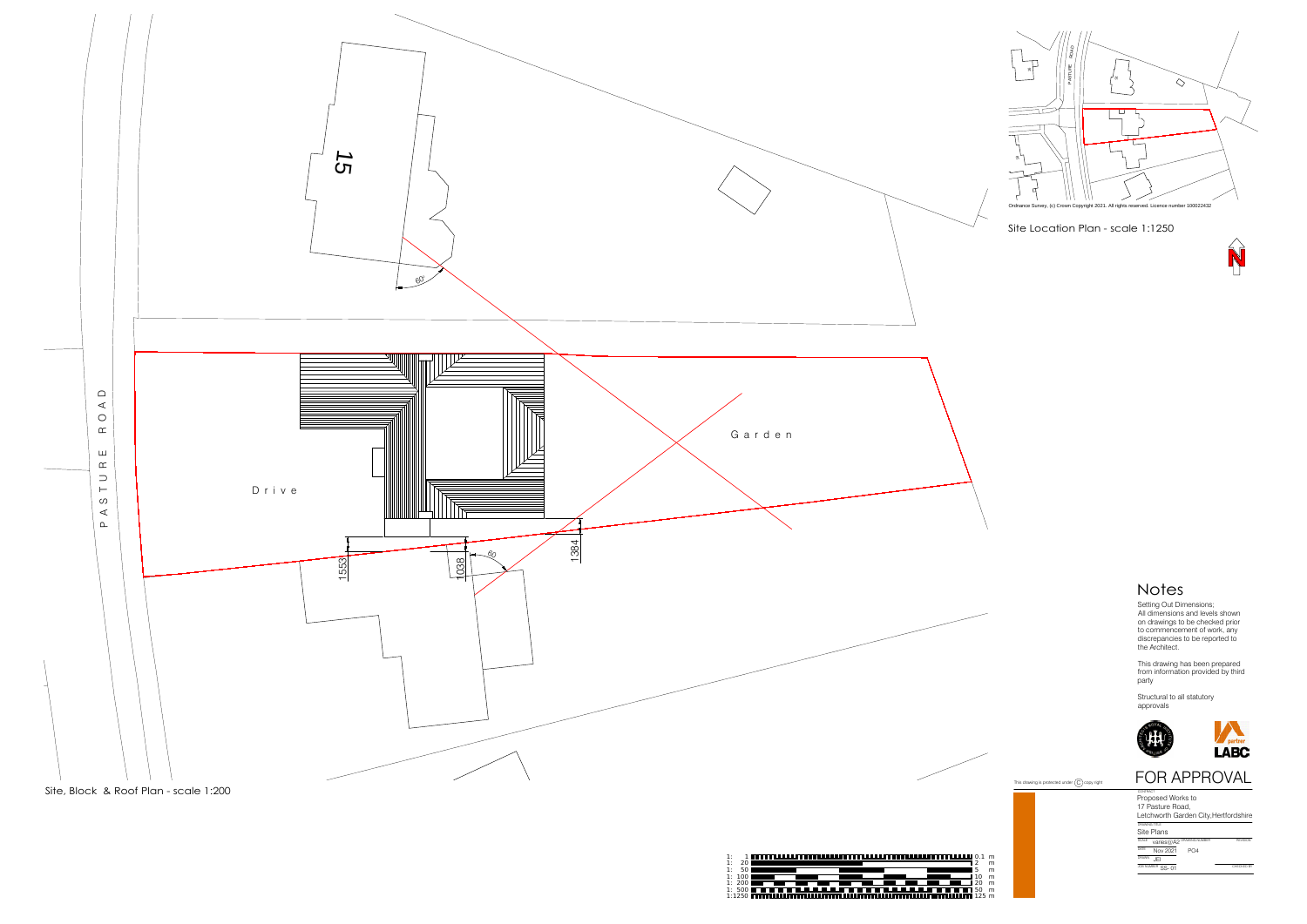







| טווטו וטווכ        |                                     |           |
|--------------------|-------------------------------------|-----------|
| CALE               | varies@A2 <sup>DRAWING NUMBER</sup> |           |
| ATE<br>Nov 2021    | PO4                                 |           |
| <b>RAWN</b><br>JFI |                                     |           |
| OB NUMBER SS-01    |                                     | CHECKED B |



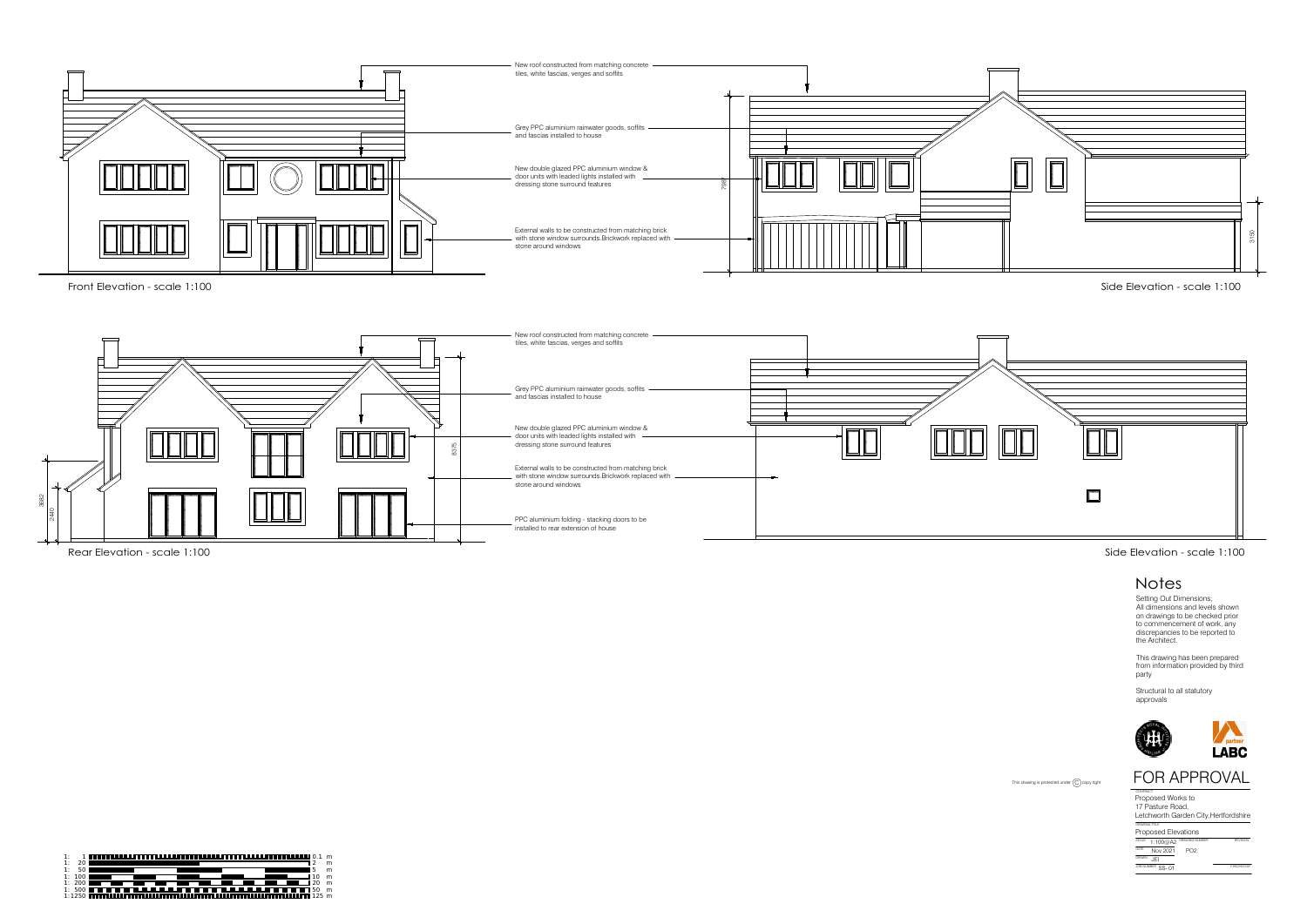